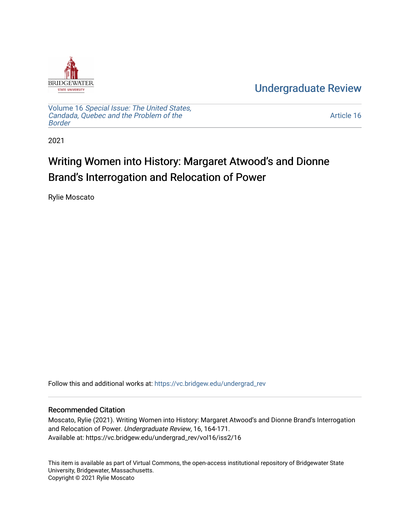

[Undergraduate Review](https://vc.bridgew.edu/undergrad_rev) 

Volume 16 [Special Issue: The United States,](https://vc.bridgew.edu/undergrad_rev/vol16)  [Candada, Quebec and the Problem of the](https://vc.bridgew.edu/undergrad_rev/vol16)  [Border](https://vc.bridgew.edu/undergrad_rev/vol16)

[Article 16](https://vc.bridgew.edu/undergrad_rev/vol16/iss2/16) 

2021

## Writing Women into History: Margaret Atwood's and Dionne Brand's Interrogation and Relocation of Power

Rylie Moscato

Follow this and additional works at: [https://vc.bridgew.edu/undergrad\\_rev](https://vc.bridgew.edu/undergrad_rev?utm_source=vc.bridgew.edu%2Fundergrad_rev%2Fvol16%2Fiss2%2F16&utm_medium=PDF&utm_campaign=PDFCoverPages)

## Recommended Citation

Moscato, Rylie (2021). Writing Women into History: Margaret Atwood's and Dionne Brand's Interrogation and Relocation of Power. Undergraduate Review, 16, 164-171. Available at: https://vc.bridgew.edu/undergrad\_rev/vol16/iss2/16

This item is available as part of Virtual Commons, the open-access institutional repository of Bridgewater State University, Bridgewater, Massachusetts. Copyright © 2021 Rylie Moscato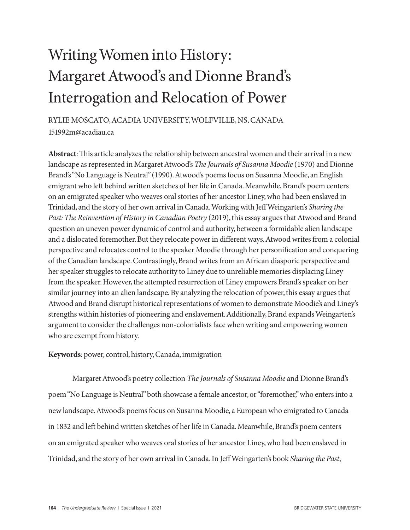## Writing Women into History: Margaret Atwood's and Dionne Brand's Interrogation and Relocation of Power

RYLIE MOSCATO, ACADIA UNIVERSITY, WOLFVILLE, NS, CANADA 151992m@acadiau.ca

**Abstract**: This article analyzes the relationship between ancestral women and their arrival in a new landscape as represented in Margaret Atwood's *The Journals of Susanna Moodie* (1970) and Dionne Brand's "No Language is Neutral" (1990). Atwood's poems focus on Susanna Moodie, an English emigrant who left behind written sketches of her life in Canada. Meanwhile, Brand's poem centers on an emigrated speaker who weaves oral stories of her ancestor Liney, who had been enslaved in Trinidad, and the story of her own arrival in Canada. Working with Jeff Weingarten's *Sharing the Past: The Reinvention of History in Canadian Poetry* (2019), this essay argues that Atwood and Brand question an uneven power dynamic of control and authority, between a formidable alien landscape and a dislocated foremother. But they relocate power in different ways. Atwood writes from a colonial perspective and relocates control to the speaker Moodie through her personification and conquering of the Canadian landscape. Contrastingly, Brand writes from an African diasporic perspective and her speaker struggles to relocate authority to Liney due to unreliable memories displacing Liney from the speaker. However, the attempted resurrection of Liney empowers Brand's speaker on her similar journey into an alien landscape. By analyzing the relocation of power, this essay argues that Atwood and Brand disrupt historical representations of women to demonstrate Moodie's and Liney's strengths within histories of pioneering and enslavement. Additionally, Brand expands Weingarten's argument to consider the challenges non-colonialists face when writing and empowering women who are exempt from history.

**Keywords**: power, control, history, Canada, immigration

Margaret Atwood's poetry collection *The Journals of Susanna Moodie* and Dionne Brand's poem "No Language is Neutral" both showcase a female ancestor, or "foremother," who enters into a new landscape. Atwood's poems focus on Susanna Moodie, a European who emigrated to Canada in 1832 and left behind written sketches of her life in Canada. Meanwhile, Brand's poem centers on an emigrated speaker who weaves oral stories of her ancestor Liney, who had been enslaved in Trinidad, and the story of her own arrival in Canada. In Jeff Weingarten's book *Sharing the Past*,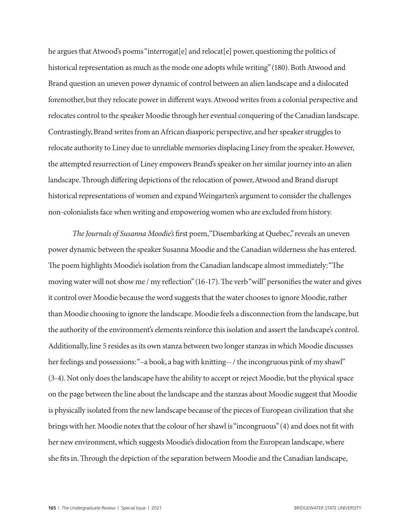he argues that Atwood's poems "interrogat[e] and relocat[e] power, questioning the politics of historical representation as much as the mode one adopts while writing" (180). Both Atwood and Brand question an uneven power dynamic of control between an alien landscape and a dislocated foremother, but they relocate power in different ways. Atwood writes from a colonial perspective and relocates control to the speaker Moodie through her eventual conquering of the Canadian landscape. Contrastingly, Brand writes from an African diasporic perspective, and her speaker struggles to relocate authority to Liney due to unreliable memories displacing Liney from the speaker. However, the attempted resurrection of Liney empowers Brand's speaker on her similar journey into an alien landscape. Through differing depictions of the relocation of power, Atwood and Brand disrupt historical representations of women and expand Weingarten's argument to consider the challenges non-colonialists face when writing and empowering women who are excluded from history.

*The Journals of Susanna Moodie's* first poem, "Disembarking at Quebec," reveals an uneven power dynamic between the speaker Susanna Moodie and the Canadian wilderness she has entered. The poem highlights Moodie's isolation from the Canadian landscape almost immediately: "The moving water will not show me / my reflection" (16-17). The verb "will" personifies the water and gives it control over Moodie because the word suggests that the water chooses to ignore Moodie, rather than Moodie choosing to ignore the landscape. Moodie feels a disconnection from the landscape, but the authority of the environment's elements reinforce this isolation and assert the landscape's control. Additionally, line 5 resides as its own stanza between two longer stanzas in which Moodie discusses her feelings and possessions: "–a book, a bag with knitting--/the incongruous pink of my shawl" (3-4). Not only does the landscape have the ability to accept or reject Moodie, but the physical space on the page between the line about the landscape and the stanzas about Moodie suggest that Moodie is physically isolated from the new landscape because of the pieces of European civilization that she brings with her. Moodie notes that the colour of her shawl is "incongruous" (4) and does not fit with her new environment, which suggests Moodie's dislocation from the European landscape, where she fits in. Through the depiction of the separation between Moodie and the Canadian landscape,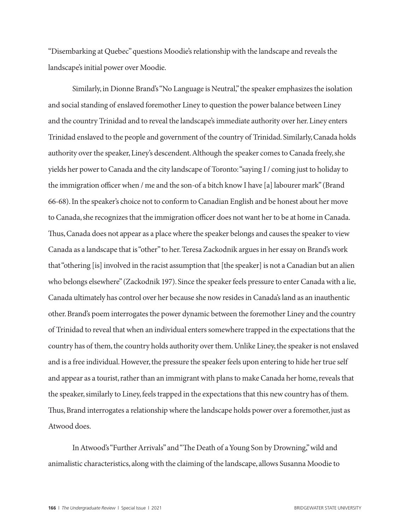"Disembarking at Quebec" questions Moodie's relationship with the landscape and reveals the landscape's initial power over Moodie.

Similarly, in Dionne Brand's "No Language is Neutral," the speaker emphasizes the isolation and social standing of enslaved foremother Liney to question the power balance between Liney and the country Trinidad and to reveal the landscape's immediate authority over her. Liney enters Trinidad enslaved to the people and government of the country of Trinidad. Similarly, Canada holds authority over the speaker, Liney's descendent. Although the speaker comes to Canada freely, she yields her power to Canada and the city landscape of Toronto: "saying I / coming just to holiday to the immigration officer when / me and the son-of a bitch know I have [a] labourer mark" (Brand 66-68). In the speaker's choice not to conform to Canadian English and be honest about her move to Canada, she recognizes that the immigration officer does not want her to be at home in Canada. Thus, Canada does not appear as a place where the speaker belongs and causes the speaker to view Canada as a landscape that is "other" to her. Teresa Zackodnik argues in her essay on Brand's work that "othering [is] involved in the racist assumption that [the speaker] is not a Canadian but an alien who belongs elsewhere" (Zackodnik 197). Since the speaker feels pressure to enter Canada with a lie, Canada ultimately has control over her because she now resides in Canada's land as an inauthentic other. Brand's poem interrogates the power dynamic between the foremother Liney and the country of Trinidad to reveal that when an individual enters somewhere trapped in the expectations that the country has of them, the country holds authority over them. Unlike Liney, the speaker is not enslaved and is a free individual. However, the pressure the speaker feels upon entering to hide her true self and appear as a tourist, rather than an immigrant with plans to make Canada her home, reveals that the speaker, similarly to Liney, feels trapped in the expectations that this new country has of them. Thus, Brand interrogates a relationship where the landscape holds power over a foremother, just as Atwood does.

In Atwood's "Further Arrivals" and "The Death of a Young Son by Drowning," wild and animalistic characteristics, along with the claiming of the landscape, allows Susanna Moodie to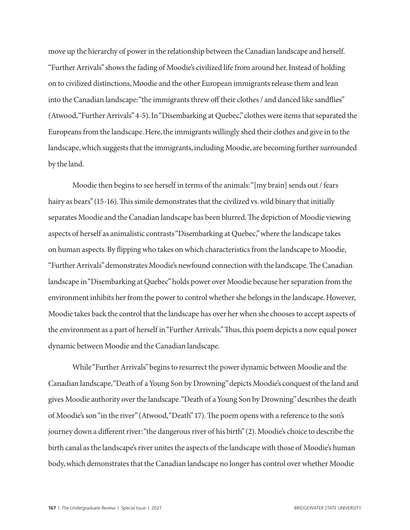move up the hierarchy of power in the relationship between the Canadian landscape and herself. "Further Arrivals" shows the fading of Moodie's civilized life from around her. Instead of holding on to civilized distinctions, Moodie and the other European immigrants release them and lean into the Canadian landscape: "the immigrants threw off their clothes / and danced like sandflies" (Atwood, "Further Arrivals" 4-5). In "Disembarking at Quebec," clothes were items that separated the Europeans from the landscape. Here, the immigrants willingly shed their clothes and give in to the landscape, which suggests that the immigrants, including Moodie, are becoming further surrounded by the land.

Moodie then begins to see herself in terms of the animals: "[my brain] sends out / fears hairy as bears" (15-16). This simile demonstrates that the civilized vs. wild binary that initially separates Moodie and the Canadian landscape has been blurred. The depiction of Moodie viewing aspects of herself as animalistic contrasts "Disembarking at Quebec," where the landscape takes on human aspects. By flipping who takes on which characteristics from the landscape to Moodie, "Further Arrivals" demonstrates Moodie's newfound connection with the landscape. The Canadian landscape in "Disembarking at Quebec" holds power over Moodie because her separation from the environment inhibits her from the power to control whether she belongs in the landscape. However, Moodie takes back the control that the landscape has over her when she chooses to accept aspects of the environment as a part of herself in "Further Arrivals." Thus, this poem depicts a now equal power dynamic between Moodie and the Canadian landscape.

While "Further Arrivals" begins to resurrect the power dynamic between Moodie and the Canadian landscape, "Death of a Young Son by Drowning" depicts Moodie's conquest of the land and gives Moodie authority over the landscape. "Death of a Young Son by Drowning" describes the death of Moodie's son "in the river" (Atwood, "Death" 17). The poem opens with a reference to the son's journey down a different river: "the dangerous river of his birth" (2). Moodie's choice to describe the birth canal as the landscape's river unites the aspects of the landscape with those of Moodie's human body, which demonstrates that the Canadian landscape no longer has control over whether Moodie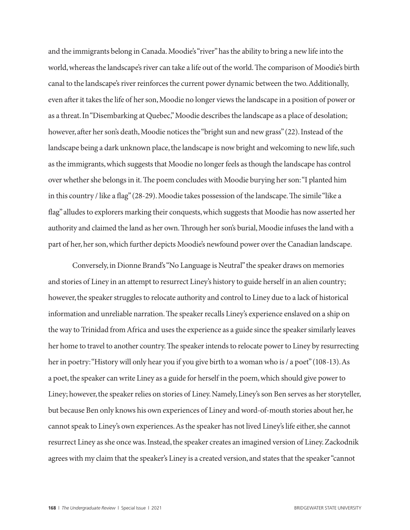and the immigrants belong in Canada. Moodie's "river" has the ability to bring a new life into the world, whereas the landscape's river can take a life out of the world. The comparison of Moodie's birth canal to the landscape's river reinforces the current power dynamic between the two. Additionally, even after it takes the life of her son, Moodie no longer views the landscape in a position of power or as a threat. In "Disembarking at Quebec," Moodie describes the landscape as a place of desolation; however, after her son's death, Moodie notices the "bright sun and new grass" (22). Instead of the landscape being a dark unknown place, the landscape is now bright and welcoming to new life, such as the immigrants, which suggests that Moodie no longer feels as though the landscape has control over whether she belongs in it. The poem concludes with Moodie burying her son: "I planted him in this country / like a flag" (28-29). Moodie takes possession of the landscape. The simile "like a flag" alludes to explorers marking their conquests, which suggests that Moodie has now asserted her authority and claimed the land as her own. Through her son's burial, Moodie infuses the land with a part of her, her son, which further depicts Moodie's newfound power over the Canadian landscape.

Conversely, in Dionne Brand's "No Language is Neutral" the speaker draws on memories and stories of Liney in an attempt to resurrect Liney's history to guide herself in an alien country; however, the speaker struggles to relocate authority and control to Liney due to a lack of historical information and unreliable narration. The speaker recalls Liney's experience enslaved on a ship on the way to Trinidad from Africa and uses the experience as a guide since the speaker similarly leaves her home to travel to another country. The speaker intends to relocate power to Liney by resurrecting her in poetry: "History will only hear you if you give birth to a woman who is / a poet" (108-13). As a poet, the speaker can write Liney as a guide for herself in the poem, which should give power to Liney; however, the speaker relies on stories of Liney. Namely, Liney's son Ben serves as her storyteller, but because Ben only knows his own experiences of Liney and word-of-mouth stories about her, he cannot speak to Liney's own experiences. As the speaker has not lived Liney's life either, she cannot resurrect Liney as she once was. Instead, the speaker creates an imagined version of Liney. Zackodnik agrees with my claim that the speaker's Liney is a created version, and states that the speaker "cannot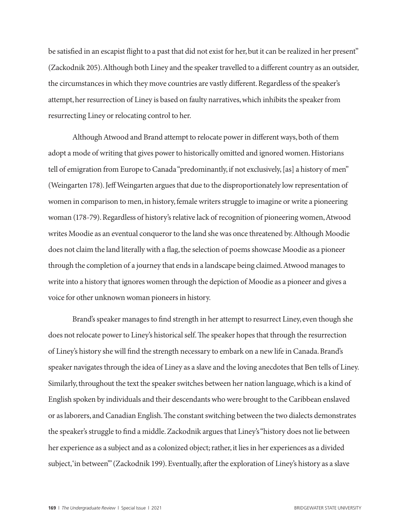be satisfied in an escapist flight to a past that did not exist for her, but it can be realized in her present" (Zackodnik 205). Although both Liney and the speaker travelled to a different country as an outsider, the circumstances in which they move countries are vastly different. Regardless of the speaker's attempt, her resurrection of Liney is based on faulty narratives, which inhibits the speaker from resurrecting Liney or relocating control to her.

Although Atwood and Brand attempt to relocate power in different ways, both of them adopt a mode of writing that gives power to historically omitted and ignored women. Historians tell of emigration from Europe to Canada "predominantly, if not exclusively, [as] a history of men" (Weingarten 178). Jeff Weingarten argues that due to the disproportionately low representation of women in comparison to men, in history, female writers struggle to imagine or write a pioneering woman (178-79). Regardless of history's relative lack of recognition of pioneering women, Atwood writes Moodie as an eventual conqueror to the land she was once threatened by. Although Moodie does not claim the land literally with a flag, the selection of poems showcase Moodie as a pioneer through the completion of a journey that ends in a landscape being claimed. Atwood manages to write into a history that ignores women through the depiction of Moodie as a pioneer and gives a voice for other unknown woman pioneers in history.

Brand's speaker manages to find strength in her attempt to resurrect Liney, even though she does not relocate power to Liney's historical self. The speaker hopes that through the resurrection of Liney's history she will find the strength necessary to embark on a new life in Canada. Brand's speaker navigates through the idea of Liney as a slave and the loving anecdotes that Ben tells of Liney. Similarly, throughout the text the speaker switches between her nation language, which is a kind of English spoken by individuals and their descendants who were brought to the Caribbean enslaved or as laborers, and Canadian English. The constant switching between the two dialects demonstrates the speaker's struggle to find a middle. Zackodnik argues that Liney's "history does not lie between her experience as a subject and as a colonized object; rather, it lies in her experiences as a divided subject, 'in between'" (Zackodnik 199). Eventually, after the exploration of Liney's history as a slave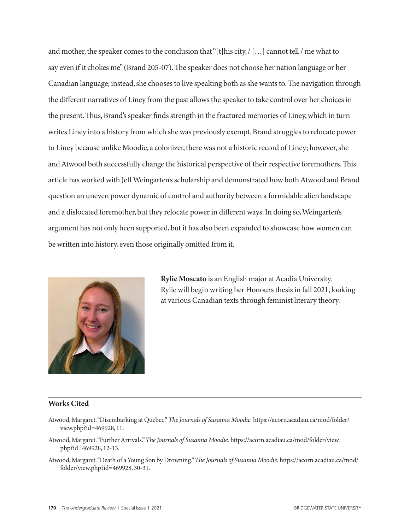and mother, the speaker comes to the conclusion that "[t]his city, / […] cannot tell / me what to say even if it chokes me" (Brand 205-07). The speaker does not choose her nation language or her Canadian language; instead, she chooses to live speaking both as she wants to. The navigation through the different narratives of Liney from the past allows the speaker to take control over her choices in the present. Thus, Brand's speaker finds strength in the fractured memories of Liney, which in turn writes Liney into a history from which she was previously exempt. Brand struggles to relocate power to Liney because unlike Moodie, a colonizer, there was not a historic record of Liney; however, she and Atwood both successfully change the historical perspective of their respective foremothers. This article has worked with Jeff Weingarten's scholarship and demonstrated how both Atwood and Brand question an uneven power dynamic of control and authority between a formidable alien landscape and a dislocated foremother, but they relocate power in different ways. In doing so, Weingarten's argument has not only been supported, but it has also been expanded to showcase how women can be written into history, even those originally omitted from it.



**Rylie Moscato** is an English major at Acadia University. Rylie will begin writing her Honours thesis in fall 2021, looking at various Canadian texts through feminist literary theory.

## **Works Cited**

- Atwood, Margaret. "Disembarking at Quebec." *The Journals of Susanna Moodie.* https://acorn.acadiau.ca/mod/folder/ view.php?id=469928, 11.
- Atwood, Margaret. "Further Arrivals." *The Journals of Susanna Moodie.* https://acorn.acadiau.ca/mod/folder/view. php?id=469928, 12-13.
- Atwood, Margaret. "Death of a Young Son by Drowning." *The Journals of Susanna Moodie.* https://acorn.acadiau.ca/mod/ folder/view.php?id=469928, 30-31.